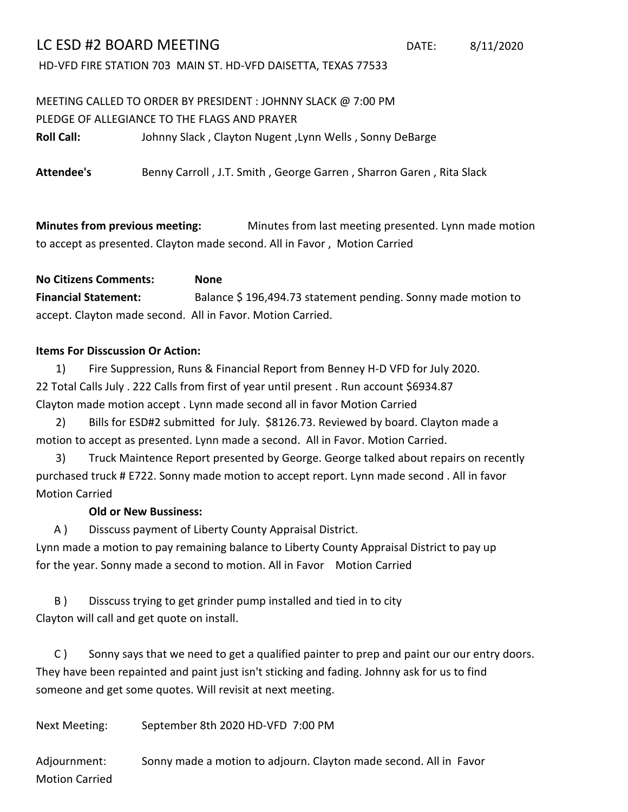## LC ESD #2 BOARD MEETING DATE: 8/11/2020

HD-VFD FIRE STATION 703 MAIN ST. HD-VFD DAISETTA, TEXAS 77533

## MEETING CALLED TO ORDER BY PRESIDENT : JOHNNY SLACK @ 7:00 PM PLEDGE OF ALLEGIANCE TO THE FLAGS AND PRAYER

**Roll Call:** Johnny Slack , Clayton Nugent ,Lynn Wells , Sonny DeBarge

**Attendee's** Benny Carroll , J.T. Smith , George Garren , Sharron Garen , Rita Slack

**Minutes from previous meeting:** Minutes from last meeting presented. Lynn made motion to accept as presented. Clayton made second. All in Favor , Motion Carried

**No Citizens Comments: None Financial Statement:** Balance \$ 196,494.73 statement pending. Sonny made motion to accept. Clayton made second. All in Favor. Motion Carried.

## **Items For Disscussion Or Action:**

1) 22 Total Calls July . 222 Calls from first of year until present . Run account \$6934.87 Fire Suppression, Runs & Financial Report from Benney H-D VFD for July 2020. Clayton made motion accept . Lynn made second all in favor Motion Carried

2) Bills for ESD#2 submitted for July. \$8126.73. Reviewed by board. Clayton made a motion to accept as presented. Lynn made a second. All in Favor. Motion Carried.

3) Motion Carried purchased truck # E722. Sonny made motion to accept report. Lynn made second . All in favor Truck Maintence Report presented by George. George talked about repairs on recently

## **Old or New Bussiness:**

A ) Disscuss payment of Liberty County Appraisal District.

Lynn made a motion to pay remaining balance to Liberty County Appraisal District to pay up for the year. Sonny made a second to motion. All in Favor Motion Carried

B ) Disscuss trying to get grinder pump installed and tied in to city Clayton will call and get quote on install.

C ) Sonny says that we need to get a qualified painter to prep and paint our our entry doors. They have been repainted and paint just isn't sticking and fading. Johnny ask for us to find someone and get some quotes. Will revisit at next meeting.

Next Meeting: September 8th 2020 HD-VFD 7:00 PM

Adjournment: Sonny made a motion to adjourn. Clayton made second. All in Favor Motion Carried